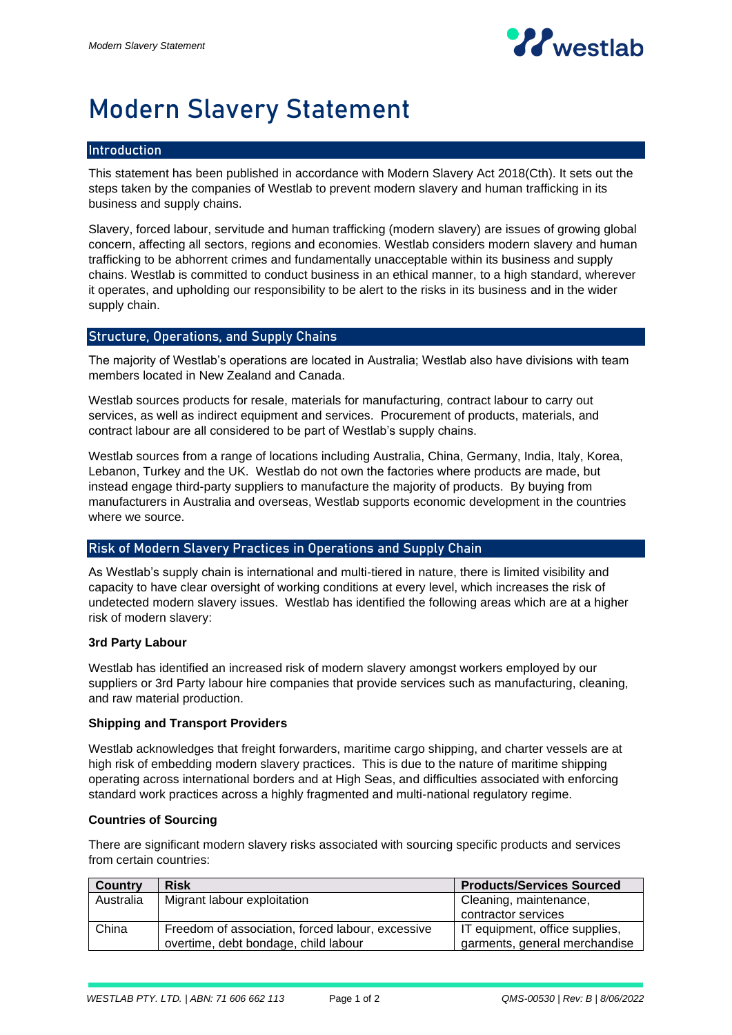

# Modern Slavery Statement

## Introduction

This statement has been published in accordance with Modern Slavery Act 2018(Cth). It sets out the steps taken by the companies of Westlab to prevent modern slavery and human trafficking in its business and supply chains.

Slavery, forced labour, servitude and human trafficking (modern slavery) are issues of growing global concern, affecting all sectors, regions and economies. Westlab considers modern slavery and human trafficking to be abhorrent crimes and fundamentally unacceptable within its business and supply chains. Westlab is committed to conduct business in an ethical manner, to a high standard, wherever it operates, and upholding our responsibility to be alert to the risks in its business and in the wider supply chain.

## Structure, Operations, and Supply Chains

The majority of Westlab's operations are located in Australia; Westlab also have divisions with team members located in New Zealand and Canada.

Westlab sources products for resale, materials for manufacturing, contract labour to carry out services, as well as indirect equipment and services. Procurement of products, materials, and contract labour are all considered to be part of Westlab's supply chains.

Westlab sources from a range of locations including Australia, China, Germany, India, Italy, Korea, Lebanon, Turkey and the UK. Westlab do not own the factories where products are made, but instead engage third-party suppliers to manufacture the majority of products. By buying from manufacturers in Australia and overseas, Westlab supports economic development in the countries where we source.

## Risk of Modern Slavery Practices in Operations and Supply Chain

As Westlab's supply chain is international and multi-tiered in nature, there is limited visibility and capacity to have clear oversight of working conditions at every level, which increases the risk of undetected modern slavery issues. Westlab has identified the following areas which are at a higher risk of modern slavery:

#### **3rd Party Labour**

Westlab has identified an increased risk of modern slavery amongst workers employed by our suppliers or 3rd Party labour hire companies that provide services such as manufacturing, cleaning, and raw material production.

### **Shipping and Transport Providers**

Westlab acknowledges that freight forwarders, maritime cargo shipping, and charter vessels are at high risk of embedding modern slavery practices. This is due to the nature of maritime shipping operating across international borders and at High Seas, and difficulties associated with enforcing standard work practices across a highly fragmented and multi-national regulatory regime.

### **Countries of Sourcing**

There are significant modern slavery risks associated with sourcing specific products and services from certain countries:

| Country   | <b>Risk</b>                                      | <b>Products/Services Sourced</b> |
|-----------|--------------------------------------------------|----------------------------------|
| Australia | Migrant labour exploitation                      | Cleaning, maintenance,           |
|           |                                                  | contractor services              |
| China     | Freedom of association, forced labour, excessive | IT equipment, office supplies,   |
|           | overtime, debt bondage, child labour             | garments, general merchandise    |